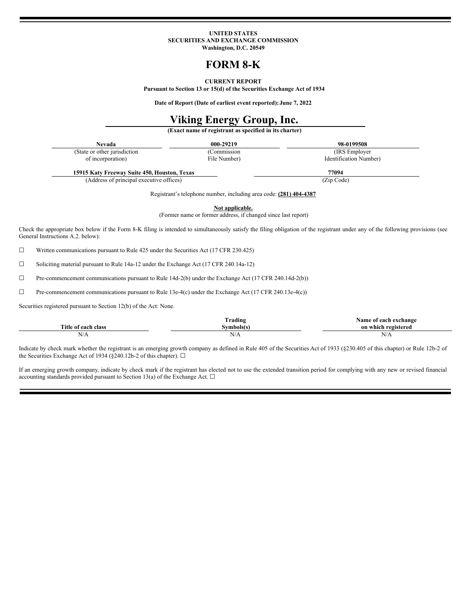#### **UNITED STATES SECURITIES AND EXCHANGE COMMISSION Washington, D.C. 20549**

# **FORM 8-K**

#### **CURRENT REPORT**

**Pursuant to Section 13 or 15(d) of the Securities Exchange Act of 1934**

**Date of Report (Date of earliest event reported):June 7, 2022**

# **Viking Energy Group, Inc.**

**(Exact name of registrant as specified in its charter)**

| Nevada | 000-29219 | 98-0199508 |
|--------|-----------|------------|
|        |           |            |

(Commission File Number)

(IRS Employer Identification Number)

**15915 Katy Freeway Suite 450, Houston, Texas 77094** (Address of principal executive offices) (Zip Code)

(State or other jurisdiction of incorporation)

Registrant's telephone number, including area code: **(281) 404-4387**

**Not applicable.**

(Former name or former address, if changed since last report)

Check the appropriate box below if the Form 8-K filing is intended to simultaneously satisfy the filing obligation of the registrant under any of the following provisions (see General Instructions A.2. below):

☐ Written communications pursuant to Rule 425 under the Securities Act (17 CFR 230.425)

☐ Soliciting material pursuant to Rule 14a-12 under the Exchange Act (17 CFR 240.14a-12)

☐ Pre-commencement communications pursuant to Rule 14d-2(b) under the Exchange Act (17 CFR 240.14d-2(b))

☐ Pre-commencement communications pursuant to Rule 13e-4(c) under the Exchange Act (17 CFR 240.13e-4(c))

Securities registered pursuant to Section 12(b) of the Act: None.

|                           | Trading   | each exchange)<br>Name of |
|---------------------------|-----------|---------------------------|
| Title of each.<br>∟ class | ambolete) | on w<br>, ragistarad      |
| .<br>N/A                  | 11/T      | N/A                       |

Indicate by check mark whether the registrant is an emerging growth company as defined in Rule 405 of the Securities Act of 1933 (§230.405 of this chapter) or Rule 12b-2 of the Securities Exchange Act of 1934 (§240.12b-2 of this chapter).  $\Box$ 

If an emerging growth company, indicate by check mark if the registrant has elected not to use the extended transition period for complying with any new or revised financial accounting standards provided pursuant to Section 13(a) of the Exchange Act.  $\Box$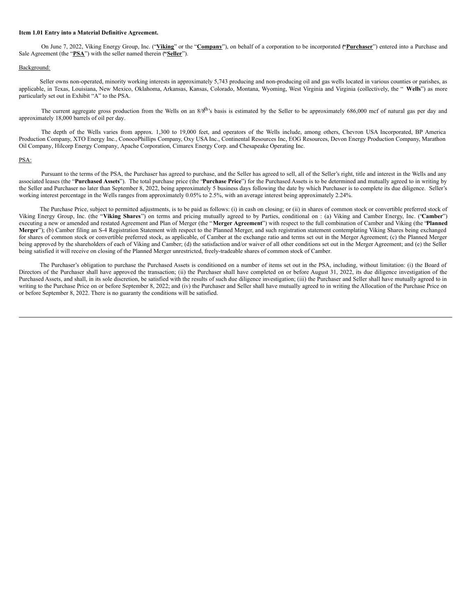#### **Item 1.01 Entry into a Material Definitive Agreement.**

On June 7, 2022, Viking Energy Group, Inc. ("**Viking**" or the "**Company**"), on behalf of a corporation to be incorporated (**"Purchaser**") entered into a Purchase and Sale Agreement (the "**PSA**") with the seller named therein ("Seller").

#### Background:

Seller owns non-operated, minority working interests in approximately 5,743 producing and non-producing oil and gas wells located in various counties or parishes, as applicable, in Texas, Louisiana, New Mexico, Oklahoma, Arkansas, Kansas, Colorado, Montana, Wyoming, West Virginia and Virginia (collectively, the " **Wells**") as more particularly set out in Exhibit "A" to the PSA.

The current aggregate gross production from the Wells on an  $8/8<sup>th</sup>$ 's basis is estimated by the Seller to be approximately 686,000 mcf of natural gas per day and approximately 18,000 barrels of oil per day.

The depth of the Wells varies from approx. 1,300 to 19,000 feet, and operators of the Wells include, among others, Chevron USA Incorporated, BP America Production Company, XTO Energy Inc., ConocoPhillips Company, Oxy USA Inc., Continental Resources Inc, EOG Resources, Devon Energy Production Company, Marathon Oil Company, Hilcorp Energy Company, Apache Corporation, Cimarex Energy Corp. and Chesapeake Operating Inc.

#### PSA:

Pursuant to the terms of the PSA, the Purchaser has agreed to purchase, and the Seller has agreed to sell, all of the Seller's right, title and interest in the Wells and any associated leases (the "**Purchased Assets**"). The total purchase price (the "**Purchase Price**") for the Purchased Assets is to be determined and mutually agreed to in writing by the Seller and Purchaser no later than September 8, 2022, being approximately 5 business days following the date by which Purchaser is to complete its due diligence. Seller's working interest percentage in the Wells ranges from approximately 0.05% to 2.5%, with an average interest being approximately 2.24%.

The Purchase Price, subject to permitted adjustments, is to be paid as follows: (i) in cash on closing; or (ii) in shares of common stock or convertible preferred stock of Viking Energy Group, Inc. (the "**Viking Shares**") on terms and pricing mutually agreed to by Parties, conditional on : (a) Viking and Camber Energy, Inc. ("**Camber**") executing a new or amended and restated Agreement and Plan of Merger (the "**Merger Agreement**") with respect to the full combination of Camber and Viking (the "**Planned Merger**"); (b) Camber filing an S-4 Registration Statement with respect to the Planned Merger, and such registration statement contemplating Viking Shares being exchanged for shares of common stock or convertible preferred stock, as applicable, of Camber at the exchange ratio and terms set out in the Merger Agreement; (c) the Planned Merger being approved by the shareholders of each of Viking and Camber; (d) the satisfaction and/or waiver of all other conditions set out in the Merger Agreement; and (e) the Seller being satisfied it will receive on closing of the Planned Merger unrestricted, freely-tradeable shares of common stock of Camber.

The Purchaser's obligation to purchase the Purchased Assets is conditioned on a number of items set out in the PSA, including, without limitation: (i) the Board of Directors of the Purchaser shall have approved the transaction; (ii) the Purchaser shall have completed on or before August 31, 2022, its due diligence investigation of the Purchased Assets, and shall, in its sole discretion, be satisfied with the results of such due diligence investigation; (iii) the Purchaser and Seller shall have mutually agreed to in writing to the Purchase Price on or before September 8, 2022; and (iv) the Purchaser and Seller shall have mutually agreed to in writing the Allocation of the Purchase Price on or before September 8, 2022. There is no guaranty the conditions will be satisfied.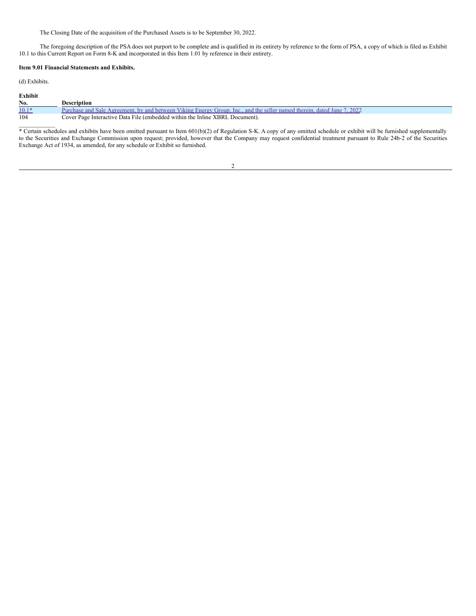The Closing Date of the acquisition of the Purchased Assets is to be September 30, 2022.

The foregoing description of the PSA does not purport to be complete and is qualified in its entirety by reference to the form of PSA, a copy of which is filed as Exhibit 10.1 to this Current Report on Form 8-K and incorporated in this Item 1.01 by reference in their entirety.

#### **Item 9.01 Financial Statements and Exhibits.**

(d) Exhibits.

| Exhibit |                                                                                                                         |
|---------|-------------------------------------------------------------------------------------------------------------------------|
| No.     | Description                                                                                                             |
| $10.1*$ | Purchase and Sale Agreement, by and between Viking Energy Group, Inc., and the seller named therein, dated June 7, 2022 |
| 104     | Cover Page Interactive Data File (embedded within the Inline XBRL Document).                                            |

 $\mathcal{L}_\text{max}$ \* Certain schedules and exhibits have been omitted pursuant to Item 601(b)(2) of Regulation S-K. A copy of any omitted schedule or exhibit will be furnished supplementally to the Securities and Exchange Commission upon request; provided, however that the Company may request confidential treatment pursuant to Rule 24b-2 of the Securities Exchange Act of 1934, as amended, for any schedule or Exhibit so furnished.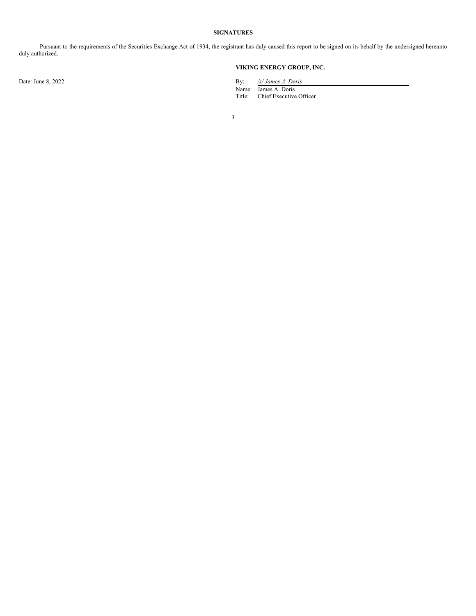### **SIGNATURES**

Pursuant to the requirements of the Securities Exchange Act of 1934, the registrant has duly caused this report to be signed on its behalf by the undersigned hereunto duly authorized.

## **VIKING ENERGY GROUP, INC.**

Date: June 8, 2022 **By:** */s/ James A. Doris* 

Name: James A. Doris Title: Chief Executive Officer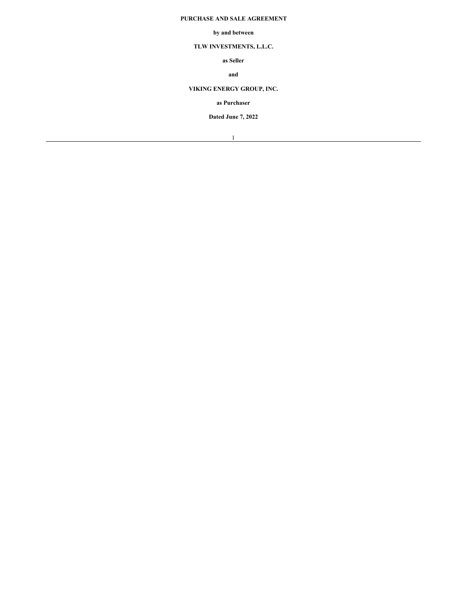## **PURCHASE AND SALE AGREEMENT**

#### **by and between**

# **TLW INVESTMENTS, L.L.C.**

**as Seller**

## **and**

# **VIKING ENERGY GROUP, INC.**

## **as Purchaser**

**Dated June 7, 2022**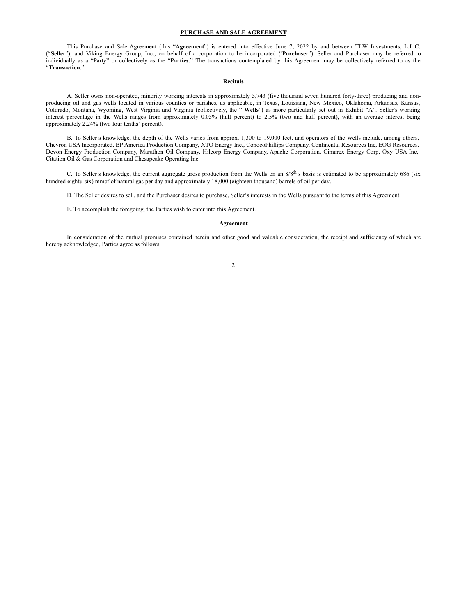#### **PURCHASE AND SALE AGREEMENT**

This Purchase and Sale Agreement (this "**Agreement**") is entered into effective June 7, 2022 by and between TLW Investments, L.L.C. (**"Seller**"), and Viking Energy Group, Inc., on behalf of a corporation to be incorporated (**"Purchaser**"). Seller and Purchaser may be referred to individually as a "Party" or collectively as the "**Parties**." The transactions contemplated by this Agreement may be collectively referred to as the "**Transaction**."

#### **Recitals**

A. Seller owns non-operated, minority working interests in approximately 5,743 (five thousand seven hundred forty-three) producing and nonproducing oil and gas wells located in various counties or parishes, as applicable, in Texas, Louisiana, New Mexico, Oklahoma, Arkansas, Kansas, Colorado, Montana, Wyoming, West Virginia and Virginia (collectively, the " **Wells**") as more particularly set out in Exhibit "A". Seller's working interest percentage in the Wells ranges from approximately 0.05% (half percent) to 2.5% (two and half percent), with an average interest being approximately 2.24% (two four tenths' percent).

B. To Seller's knowledge, the depth of the Wells varies from approx. 1,300 to 19,000 feet, and operators of the Wells include, among others, Chevron USA Incorporated, BP America Production Company, XTO Energy Inc., ConocoPhillips Company, Continental Resources Inc, EOG Resources, Devon Energy Production Company, Marathon Oil Company, Hilcorp Energy Company, Apache Corporation, Cimarex Energy Corp, Oxy USA Inc, Citation Oil & Gas Corporation and Chesapeake Operating Inc.

C. To Seller's knowledge, the current aggregate gross production from the Wells on an 8/8<sup>th</sup>'s basis is estimated to be approximately 686 (six hundred eighty-six) mmcf of natural gas per day and approximately 18,000 (eighteen thousand) barrels of oil per day.

D. The Seller desires to sell, and the Purchaser desires to purchase, Seller's interests in the Wells pursuant to the terms of this Agreement.

E. To accomplish the foregoing, the Parties wish to enter into this Agreement.

#### **Agreement**

In consideration of the mutual promises contained herein and other good and valuable consideration, the receipt and sufficiency of which are hereby acknowledged, Parties agree as follows:

#### $\overline{2}$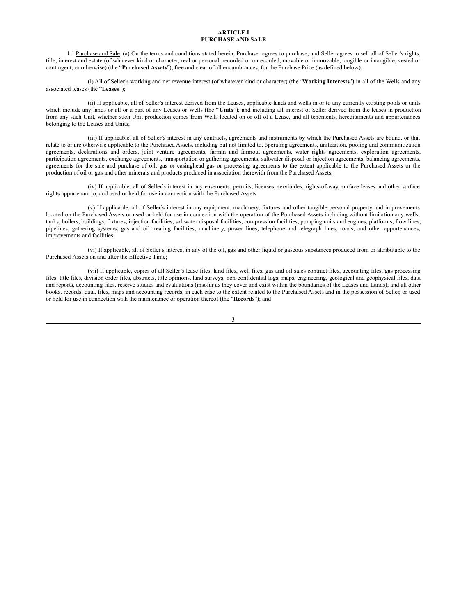#### **ARTICLE I PURCHASE AND SALE**

1.1 Purchase and Sale. (a) On the terms and conditions stated herein, Purchaser agrees to purchase, and Seller agrees to sell all of Seller's rights, title, interest and estate (of whatever kind or character, real or personal, recorded or unrecorded, movable or immovable, tangible or intangible, vested or contingent, or otherwise) (the "**Purchased Assets**"), free and clear of all encumbrances, for the Purchase Price (as defined below):

(i) All of Seller's working and net revenue interest (of whatever kind or character) (the "**Working Interests**") in all of the Wells and any associated leases (the "**Leases**");

(ii) If applicable, all of Seller's interest derived from the Leases, applicable lands and wells in or to any currently existing pools or units which include any lands or all or a part of any Leases or Wells (the "Units"); and including all interest of Seller derived from the leases in production from any such Unit, whether such Unit production comes from Wells located on or off of a Lease, and all tenements, hereditaments and appurtenances belonging to the Leases and Units;

(iii) If applicable, all of Seller's interest in any contracts, agreements and instruments by which the Purchased Assets are bound, or that relate to or are otherwise applicable to the Purchased Assets, including but not limited to, operating agreements, unitization, pooling and communitization agreements, declarations and orders, joint venture agreements, farmin and farmout agreements, water rights agreements, exploration agreements, participation agreements, exchange agreements, transportation or gathering agreements, saltwater disposal or injection agreements, balancing agreements, agreements for the sale and purchase of oil, gas or casinghead gas or processing agreements to the extent applicable to the Purchased Assets or the production of oil or gas and other minerals and products produced in association therewith from the Purchased Assets;

(iv) If applicable, all of Seller's interest in any easements, permits, licenses, servitudes, rights-of-way, surface leases and other surface rights appurtenant to, and used or held for use in connection with the Purchased Assets.

(v) If applicable, all of Seller's interest in any equipment, machinery, fixtures and other tangible personal property and improvements located on the Purchased Assets or used or held for use in connection with the operation of the Purchased Assets including without limitation any wells, tanks, boilers, buildings, fixtures, injection facilities, saltwater disposal facilities, compression facilities, pumping units and engines, platforms, flow lines, pipelines, gathering systems, gas and oil treating facilities, machinery, power lines, telephone and telegraph lines, roads, and other appurtenances, improvements and facilities;

(vi) If applicable, all of Seller's interest in any of the oil, gas and other liquid or gaseous substances produced from or attributable to the Purchased Assets on and after the Effective Time;

(vii) If applicable, copies of all Seller's lease files, land files, well files, gas and oil sales contract files, accounting files, gas processing files, title files, division order files, abstracts, title opinions, land surveys, non-confidential logs, maps, engineering, geological and geophysical files, data and reports, accounting files, reserve studies and evaluations (insofar as they cover and exist within the boundaries of the Leases and Lands); and all other books, records, data, files, maps and accounting records, in each case to the extent related to the Purchased Assets and in the possession of Seller, or used or held for use in connection with the maintenance or operation thereof (the "**Records**"); and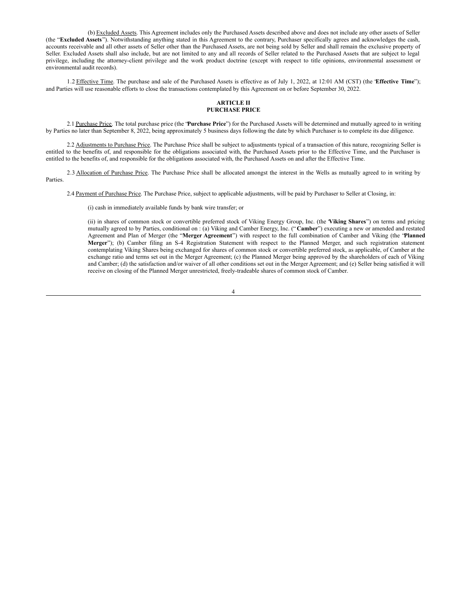(b) Excluded Assets. This Agreement includes only the Purchased Assets described above and does not include any other assets of Seller (the "**Excluded Assets**"). Notwithstanding anything stated in this Agreement to the contrary, Purchaser specifically agrees and acknowledges the cash, accounts receivable and all other assets of Seller other than the Purchased Assets, are not being sold by Seller and shall remain the exclusive property of Seller. Excluded Assets shall also include, but are not limited to any and all records of Seller related to the Purchased Assets that are subject to legal privilege, including the attorney-client privilege and the work product doctrine (except with respect to title opinions, environmental assessment or environmental audit records).

1.2 Effective Time. The purchase and sale of the Purchased Assets is effective as of July 1, 2022, at 12:01 AM (CST) (the "**Effective Time**"); and Parties will use reasonable efforts to close the transactions contemplated by this Agreement on or before September 30, 2022.

#### **ARTICLE II PURCHASE PRICE**

2.1 Purchase Price. The total purchase price (the "**Purchase Price**") for the Purchased Assets will be determined and mutually agreed to in writing by Parties no later than September 8, 2022, being approximately 5 business days following the date by which Purchaser is to complete its due diligence.

2.2 Adjustments to Purchase Price. The Purchase Price shall be subject to adjustments typical of a transaction of this nature, recognizing Seller is entitled to the benefits of, and responsible for the obligations associated with, the Purchased Assets prior to the Effective Time, and the Purchaser is entitled to the benefits of, and responsible for the obligations associated with, the Purchased Assets on and after the Effective Time.

2.3 Allocation of Purchase Price. The Purchase Price shall be allocated amongst the interest in the Wells as mutually agreed to in writing by Parties.

2.4 Payment of Purchase Price. The Purchase Price, subject to applicable adjustments, will be paid by Purchaser to Seller at Closing, in:

(i) cash in immediately available funds by bank wire transfer; or

(ii) in shares of common stock or convertible preferred stock of Viking Energy Group, Inc. (the "**Viking Shares**") on terms and pricing mutually agreed to by Parties, conditional on : (a) Viking and Camber Energy, Inc. ("**Camber**") executing a new or amended and restated Agreement and Plan of Merger (the "**Merger Agreement**") with respect to the full combination of Camber and Viking (the "**Planned Merger**"); (b) Camber filing an S-4 Registration Statement with respect to the Planned Merger, and such registration statement contemplating Viking Shares being exchanged for shares of common stock or convertible preferred stock, as applicable, of Camber at the exchange ratio and terms set out in the Merger Agreement; (c) the Planned Merger being approved by the shareholders of each of Viking and Camber; (d) the satisfaction and/or waiver of all other conditions set out in the Merger Agreement; and (e) Seller being satisfied it will receive on closing of the Planned Merger unrestricted, freely-tradeable shares of common stock of Camber.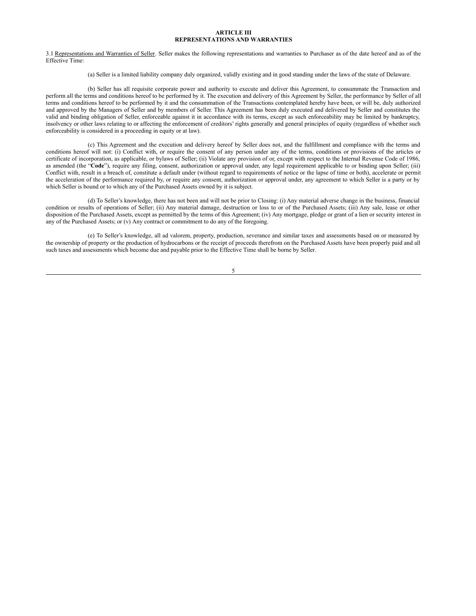#### **ARTICLE III REPRESENTATIONS AND WARRANTIES**

3.1 Representations and Warranties of Seller. Seller makes the following representations and warranties to Purchaser as of the date hereof and as of the Effective Time:

(a) Seller is a limited liability company duly organized, validly existing and in good standing under the laws of the state of Delaware.

(b) Seller has all requisite corporate power and authority to execute and deliver this Agreement, to consummate the Transaction and perform all the terms and conditions hereof to be performed by it. The execution and delivery of this Agreement by Seller, the performance by Seller of all terms and conditions hereof to be performed by it and the consummation of the Transactions contemplated hereby have been, or will be, duly authorized and approved by the Managers of Seller and by members of Seller. This Agreement has been duly executed and delivered by Seller and constitutes the valid and binding obligation of Seller, enforceable against it in accordance with its terms, except as such enforceability may be limited by bankruptcy, insolvency or other laws relating to or affecting the enforcement of creditors' rights generally and general principles of equity (regardless of whether such enforceability is considered in a proceeding in equity or at law).

(c) This Agreement and the execution and delivery hereof by Seller does not, and the fulfillment and compliance with the terms and conditions hereof will not: (i) Conflict with, or require the consent of any person under any of the terms, conditions or provisions of the articles or certificate of incorporation, as applicable, or bylaws of Seller; (ii) Violate any provision of or, except with respect to the Internal Revenue Code of 1986, as amended (the "Code"), require any filing, consent, authorization or approval under, any legal requirement applicable to or binding upon Seller; (iii) Conflict with, result in a breach of, constitute a default under (without regard to requirements of notice or the lapse of time or both), accelerate or permit the acceleration of the performance required by, or require any consent, authorization or approval under, any agreement to which Seller is a party or by which Seller is bound or to which any of the Purchased Assets owned by it is subject.

(d) To Seller's knowledge, there has not been and will not be prior to Closing: (i) Any material adverse change in the business, financial condition or results of operations of Seller; (ii) Any material damage, destruction or loss to or of the Purchased Assets; (iii) Any sale, lease or other disposition of the Purchased Assets, except as permitted by the terms of this Agreement; (iv) Any mortgage, pledge or grant of a lien or security interest in any of the Purchased Assets; or (v) Any contract or commitment to do any of the foregoing.

(e) To Seller's knowledge, all ad valorem, property, production, severance and similar taxes and assessments based on or measured by the ownership of property or the production of hydrocarbons or the receipt of proceeds therefrom on the Purchased Assets have been properly paid and all such taxes and assessments which become due and payable prior to the Effective Time shall be borne by Seller.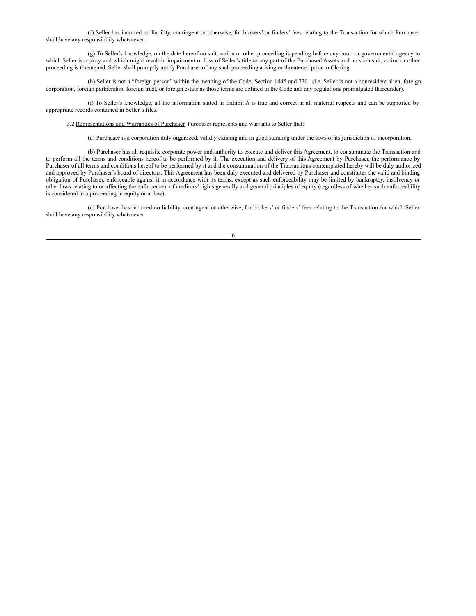(f) Seller has incurred no liability, contingent or otherwise, for brokers' or finders' fees relating to the Transaction for which Purchaser shall have any responsibility whatsoever.

(g) To Seller's knowledge, on the date hereof no suit, action or other proceeding is pending before any court or governmental agency to which Seller is a party and which might result in impairment or loss of Seller's title to any part of the Purchased Assets and no such suit, action or other proceeding is threatened. Seller shall promptly notify Purchaser of any such proceeding arising or threatened prior to Closing.

(h) Seller is not a "foreign person" within the meaning of the Code, Section 1445 and 7701 (i.e. Seller is not a nonresident alien, foreign corporation, foreign partnership, foreign trust, or foreign estate as those terms are defined in the Code and any regulations promulgated thereunder).

(i) To Seller's knowledge, all the information stated in Exhibit A is true and correct in all material respects and can be supported by appropriate records contained in Seller's files.

3.2 Representations and Warranties of Purchaser. Purchaser represents and warrants to Seller that:

(a) Purchaser is a corporation duly organized, validly existing and in good standing under the laws of its jurisdiction of incorporation.

(b) Purchaser has all requisite corporate power and authority to execute and deliver this Agreement, to consummate the Transaction and to perform all the terms and conditions hereof to be performed by it. The execution and delivery of this Agreement by Purchaser, the performance by Purchaser of all terms and conditions hereof to be performed by it and the consummation of the Transactions contemplated hereby will be duly authorized and approved by Purchaser's board of directors. This Agreement has been duly executed and delivered by Purchaser and constitutes the valid and binding obligation of Purchaser, enforceable against it in accordance with its terms, except as such enforceability may be limited by bankruptcy, insolvency or other laws relating to or affecting the enforcement of creditors' rights generally and general principles of equity (regardless of whether such enforceability is considered in a proceeding in equity or at law).

(c) Purchaser has incurred no liability, contingent or otherwise, for brokers' or finders' fees relating to the Transaction for which Seller shall have any responsibility whatsoever.

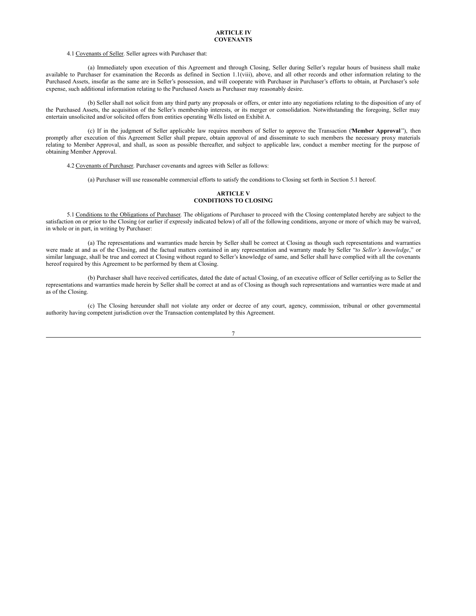#### 4.1 Covenants of Seller. Seller agrees with Purchaser that:

(a) Immediately upon execution of this Agreement and through Closing, Seller during Seller's regular hours of business shall make available to Purchaser for examination the Records as defined in Section 1.1(viii), above, and all other records and other information relating to the Purchased Assets, insofar as the same are in Seller's possession, and will cooperate with Purchaser in Purchaser's efforts to obtain, at Purchaser's sole expense, such additional information relating to the Purchased Assets as Purchaser may reasonably desire.

(b) Seller shall not solicit from any third party any proposals or offers, or enter into any negotiations relating to the disposition of any of the Purchased Assets, the acquisition of the Seller's membership interests, or its merger or consolidation. Notwithstanding the foregoing, Seller may entertain unsolicited and/or solicited offers from entities operating Wells listed on Exhibit A.

(c) If in the judgment of Seller applicable law requires members of Seller to approve the Transaction ("**Member Approval** "), then promptly after execution of this Agreement Seller shall prepare, obtain approval of and disseminate to such members the necessary proxy materials relating to Member Approval, and shall, as soon as possible thereafter, and subject to applicable law, conduct a member meeting for the purpose of obtaining Member Approval.

4.2 Covenants of Purchaser. Purchaser covenants and agrees with Seller as follows:

(a) Purchaser will use reasonable commercial efforts to satisfy the conditions to Closing set forth in Section 5.1 hereof.

## **ARTICLE V CONDITIONS TO CLOSING**

5.1 Conditions to the Obligations of Purchaser. The obligations of Purchaser to proceed with the Closing contemplated hereby are subject to the satisfaction on or prior to the Closing (or earlier if expressly indicated below) of all of the following conditions, anyone or more of which may be waived, in whole or in part, in writing by Purchaser:

(a) The representations and warranties made herein by Seller shall be correct at Closing as though such representations and warranties were made at and as of the Closing, and the factual matters contained in any representation and warranty made by Seller "*to Seller's knowledge*," or similar language, shall be true and correct at Closing without regard to Seller's knowledge of same, and Seller shall have complied with all the covenants hereof required by this Agreement to be performed by them at Closing.

(b) Purchaser shall have received certificates, dated the date of actual Closing, of an executive officer of Seller certifying as to Seller the representations and warranties made herein by Seller shall be correct at and as of Closing as though such representations and warranties were made at and as of the Closing.

(c) The Closing hereunder shall not violate any order or decree of any court, agency, commission, tribunal or other governmental authority having competent jurisdiction over the Transaction contemplated by this Agreement.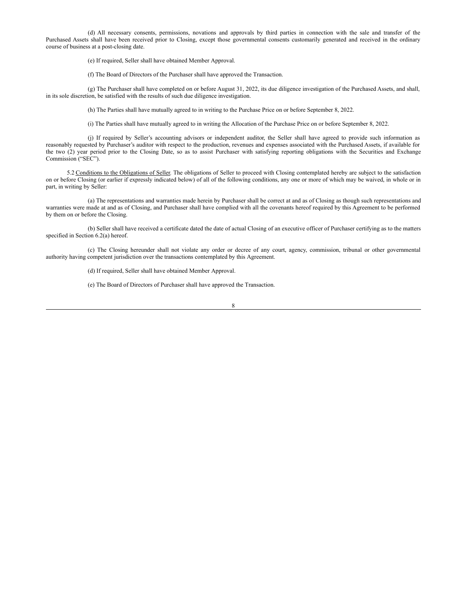<span id="page-11-0"></span>(d) All necessary consents, permissions, novations and approvals by third parties in connection with the sale and transfer of the Purchased Assets shall have been received prior to Closing, except those governmental consents customarily generated and received in the ordinary course of business at a post-closing date.

(e) If required, Seller shall have obtained Member Approval.

(f) The Board of Directors of the Purchaser shall have approved the Transaction.

(g) The Purchaser shall have completed on or before August 31, 2022, its due diligence investigation of the Purchased Assets, and shall, in its sole discretion, be satisfied with the results of such due diligence investigation.

(h) The Parties shall have mutually agreed to in writing to the Purchase Price on or before September 8, 2022.

(i) The Parties shall have mutually agreed to in writing the Allocation of the Purchase Price on or before September 8, 2022.

(j) If required by Seller's accounting advisors or independent auditor, the Seller shall have agreed to provide such information as reasonably requested by Purchaser's auditor with respect to the production, revenues and expenses associated with the Purchased Assets, if available for the two (2) year period prior to the Closing Date, so as to assist Purchaser with satisfying reporting obligations with the Securities and Exchange Commission ("SEC").

5.2 Conditions to the Obligations of Seller. The obligations of Seller to proceed with Closing contemplated hereby are subject to the satisfaction on or before Closing (or earlier if expressly indicated below) of all of the following conditions, any one or more of which may be waived, in whole or in part, in writing by Seller:

(a) The representations and warranties made herein by Purchaser shall be correct at and as of Closing as though such representations and warranties were made at and as of Closing, and Purchaser shall have complied with all the covenants hereof required by this Agreement to be performed by them on or before the Closing.

(b) Seller shall have received a certificate dated the date of actual Closing of an executive officer of Purchaser certifying as to the matters specified in Section 6.2(a) hereof.

(c) The Closing hereunder shall not violate any order or decree of any court, agency, commission, tribunal or other governmental authority having competent jurisdiction over the transactions contemplated by this Agreement.

(d) If required, Seller shall have obtained Member Approval.

(e) The Board of Directors of Purchaser shall have approved the Transaction.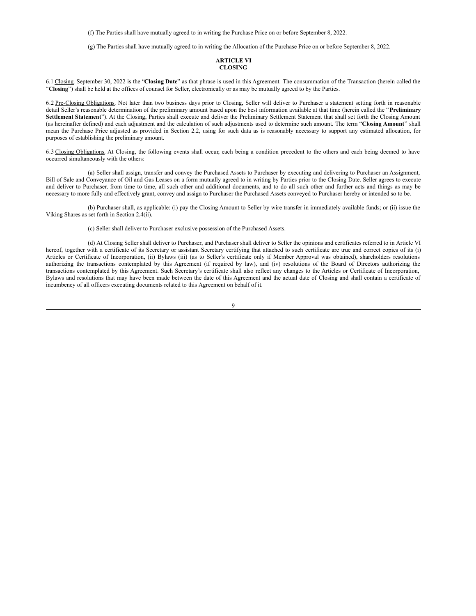(f) The Parties shall have mutually agreed to in writing the Purchase Price on or before September 8, 2022.

(g) The Parties shall have mutually agreed to in writing the Allocation of the Purchase Price on or before September 8, 2022.

## **ARTICLE VI CLOSING**

6.1 Closing. September 30, 2022 is the "**Closing Date**" as that phrase is used in this Agreement. The consummation of the Transaction (herein called the "**Closing**") shall be held at the offices of counsel for Seller, electronically or as may be mutually agreed to by the Parties.

6.2 Pre-Closing Obligations. Not later than two business days prior to Closing, Seller will deliver to Purchaser a statement setting forth in reasonable detail Seller's reasonable determination of the preliminary amount based upon the best information available at that time (herein called the "**Preliminary Settlement Statement**"). At the Closing, Parties shall execute and deliver the Preliminary Settlement Statement that shall set forth the Closing Amount (as hereinafter defined) and each adjustment and the calculation of such adjustments used to determine such amount. The term "**Closing Amount**" shall mean the Purchase Price adjusted as provided in Section 2.2, using for such data as is reasonably necessary to support any estimated allocation, for purposes of establishing the preliminary amount.

6.3 Closing Obligations. At Closing, the following events shall occur, each being a condition precedent to the others and each being deemed to have occurred simultaneously with the others:

(a) Seller shall assign, transfer and convey the Purchased Assets to Purchaser by executing and delivering to Purchaser an Assignment, Bill of Sale and Conveyance of Oil and Gas Leases on a form mutually agreed to in writing by Parties prior to the Closing Date. Seller agrees to execute and deliver to Purchaser, from time to time, all such other and additional documents, and to do all such other and further acts and things as may be necessary to more fully and effectively grant, convey and assign to Purchaser the Purchased Assets conveyed to Purchaser hereby or intended so to be.

(b) Purchaser shall, as applicable: (i) pay the Closing Amount to Seller by wire transfer in immediately available funds; or (ii) issue the Viking Shares as set forth in Section 2.4(ii).

(c) Seller shall deliver to Purchaser exclusive possession of the Purchased Assets.

(d) At Closing Seller shall deliver to Purchaser, and Purchaser shall deliver to Seller the opinions and certificates referred to in Article VI hereof, together with a certificate of its Secretary or assistant Secretary certifying that attached to such certificate are true and correct copies of its (i) Articles or Certificate of Incorporation, (ii) Bylaws (iii) (as to Seller's certificate only if Member Approval was obtained), shareholders resolutions authorizing the transactions contemplated by this Agreement (if required by law), and (iv) resolutions of the Board of Directors authorizing the transactions contemplated by this Agreement. Such Secretary's certificate shall also reflect any changes to the Articles or Certificate of Incorporation, Bylaws and resolutions that may have been made between the date of this Agreement and the actual date of Closing and shall contain a certificate of incumbency of all officers executing documents related to this Agreement on behalf of it.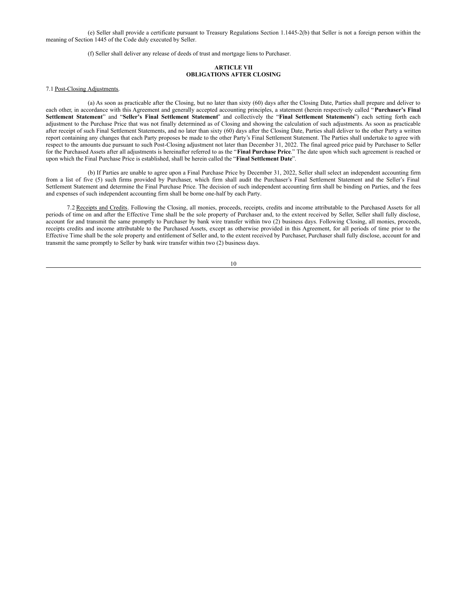(e) Seller shall provide a certificate pursuant to Treasury Regulations Section 1.1445-2(b) that Seller is not a foreign person within the meaning of Section 1445 of the Code duly executed by Seller.

(f) Seller shall deliver any release of deeds of trust and mortgage liens to Purchaser.

#### **ARTICLE VII OBLIGATIONS AFTER CLOSING**

#### 7.1 Post-Closing Adjustments.

(a) As soon as practicable after the Closing, but no later than sixty (60) days after the Closing Date, Parties shall prepare and deliver to each other, in accordance with this Agreement and generally accepted accounting principles, a statement (herein respectively called " **Purchaser's Final Settlement Statement**" and "**Seller's Final Settlement Statement**" and collectively the "**Final Settlement Statements**") each setting forth each adjustment to the Purchase Price that was not finally determined as of Closing and showing the calculation of such adjustments. As soon as practicable after receipt of such Final Settlement Statements, and no later than sixty (60) days after the Closing Date, Parties shall deliver to the other Party a written report containing any changes that each Party proposes be made to the other Party's Final Settlement Statement. The Parties shall undertake to agree with respect to the amounts due pursuant to such Post-Closing adjustment not later than December 31, 2022. The final agreed price paid by Purchaser to Seller for the Purchased Assets after all adjustments is hereinafter referred to as the "**Final Purchase Price**." The date upon which such agreement is reached or upon which the Final Purchase Price is established, shall be herein called the "**Final Settlement Date**".

(b) If Parties are unable to agree upon a Final Purchase Price by December 31, 2022, Seller shall select an independent accounting firm from a list of five (5) such firms provided by Purchaser, which firm shall audit the Purchaser's Final Settlement Statement and the Seller's Final Settlement Statement and determine the Final Purchase Price. The decision of such independent accounting firm shall be binding on Parties, and the fees and expenses of such independent accounting firm shall be borne one-half by each Party.

7.2 Receipts and Credits. Following the Closing, all monies, proceeds, receipts, credits and income attributable to the Purchased Assets for all periods of time on and after the Effective Time shall be the sole property of Purchaser and, to the extent received by Seller, Seller shall fully disclose, account for and transmit the same promptly to Purchaser by bank wire transfer within two (2) business days. Following Closing, all monies, proceeds, receipts credits and income attributable to the Purchased Assets, except as otherwise provided in this Agreement, for all periods of time prior to the Effective Time shall be the sole property and entitlement of Seller and, to the extent received by Purchaser, Purchaser shall fully disclose, account for and transmit the same promptly to Seller by bank wire transfer within two (2) business days.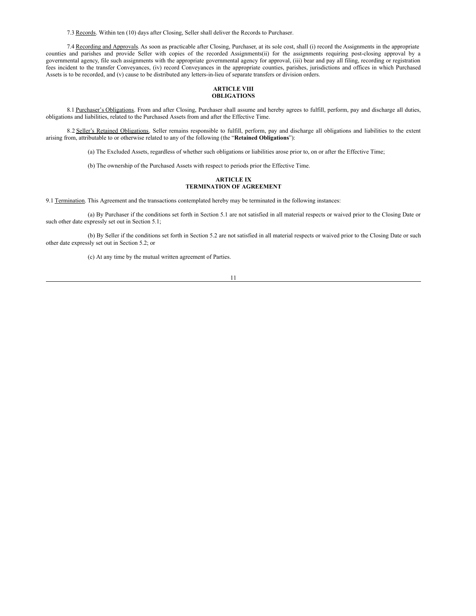7.3 Records. Within ten (10) days after Closing, Seller shall deliver the Records to Purchaser.

7.4 Recording and Approvals. As soon as practicable after Closing, Purchaser, at its sole cost, shall (i) record the Assignments in the appropriate counties and parishes and provide Seller with copies of the recorded Assignments(ii) for the assignments requiring post-closing approval by a governmental agency, file such assignments with the appropriate governmental agency for approval, (iii) bear and pay all filing, recording or registration fees incident to the transfer Conveyances, (iv) record Conveyances in the appropriate counties, parishes, jurisdictions and offices in which Purchased Assets is to be recorded, and (v) cause to be distributed any letters-in-lieu of separate transfers or division orders.

#### **ARTICLE VIII OBLIGATIONS**

8.1 Purchaser's Obligations. From and after Closing, Purchaser shall assume and hereby agrees to fulfill, perform, pay and discharge all duties, obligations and liabilities, related to the Purchased Assets from and after the Effective Time.

8.2 Seller's Retained Obligations. Seller remains responsible to fulfill, perform, pay and discharge all obligations and liabilities to the extent arising from, attributable to or otherwise related to any of the following (the "**Retained Obligations**"):

(a) The Excluded Assets, regardless of whether such obligations or liabilities arose prior to, on or after the Effective Time;

(b) The ownership of the Purchased Assets with respect to periods prior the Effective Time.

### **ARTICLE IX TERMINATION OF AGREEMENT**

9.1 Termination. This Agreement and the transactions contemplated hereby may be terminated in the following instances:

(a) By Purchaser if the conditions set forth in Section 5.1 are not satisfied in all material respects or waived prior to the Closing Date or such other date expressly set out in Section 5.1;

(b) By Seller if the conditions set forth in Section 5.2 are not satisfied in all material respects or waived prior to the Closing Date or such other date expressly set out in Section 5.2; or

(c) At any time by the mutual written agreement of Parties.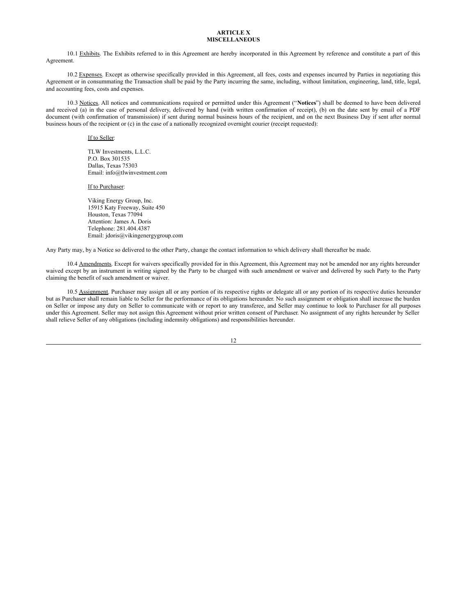#### **ARTICLE X MISCELLANEOUS**

10.1 Exhibits. The Exhibits referred to in this Agreement are hereby incorporated in this Agreement by reference and constitute a part of this Agreement.

10.2 Expenses. Except as otherwise specifically provided in this Agreement, all fees, costs and expenses incurred by Parties in negotiating this Agreement or in consummating the Transaction shall be paid by the Party incurring the same, including, without limitation, engineering, land, title, legal, and accounting fees, costs and expenses.

10.3 Notices. All notices and communications required or permitted under this Agreement ("**Notices**") shall be deemed to have been delivered and received (a) in the case of personal delivery, delivered by hand (with written confirmation of receipt), (b) on the date sent by email of a PDF document (with confirmation of transmission) if sent during normal business hours of the recipient, and on the next Business Day if sent after normal business hours of the recipient or (c) in the case of a nationally recognized overnight courier (receipt requested):

If to Seller:

TLW Investments, L.L.C. P.O. Box 301535 Dallas, Texas 75303 Email: info@tlwinvestment.com

#### If to Purchaser:

Viking Energy Group, Inc. 15915 Katy Freeway, Suite 450 Houston, Texas 77094 Attention: James A. Doris Telephone: 281.404.4387 Email: jdoris@vikingenergygroup.com

Any Party may, by a Notice so delivered to the other Party, change the contact information to which delivery shall thereafter be made.

10.4 Amendments. Except for waivers specifically provided for in this Agreement, this Agreement may not be amended nor any rights hereunder waived except by an instrument in writing signed by the Party to be charged with such amendment or waiver and delivered by such Party to the Party claiming the benefit of such amendment or waiver.

10.5 Assignment. Purchaser may assign all or any portion of its respective rights or delegate all or any portion of its respective duties hereunder but as Purchaser shall remain liable to Seller for the performance of its obligations hereunder. No such assignment or obligation shall increase the burden on Seller or impose any duty on Seller to communicate with or report to any transferee, and Seller may continue to look to Purchaser for all purposes under this Agreement. Seller may not assign this Agreement without prior written consent of Purchaser. No assignment of any rights hereunder by Seller shall relieve Seller of any obligations (including indemnity obligations) and responsibilities hereunder.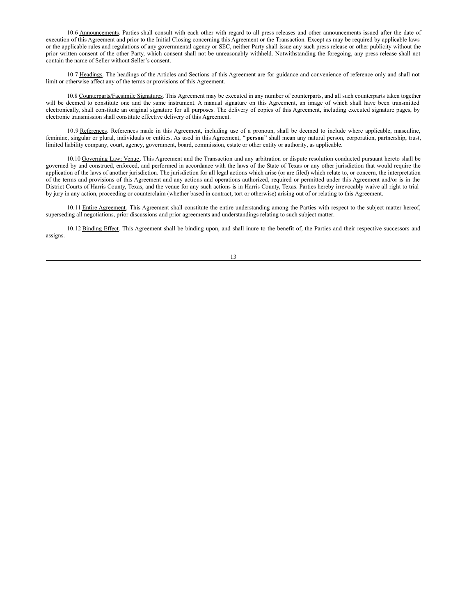10.6 Announcements. Parties shall consult with each other with regard to all press releases and other announcements issued after the date of execution of this Agreement and prior to the Initial Closing concerning this Agreement or the Transaction. Except as may be required by applicable laws or the applicable rules and regulations of any governmental agency or SEC, neither Party shall issue any such press release or other publicity without the prior written consent of the other Party, which consent shall not be unreasonably withheld. Notwithstanding the foregoing, any press release shall not contain the name of Seller without Seller's consent.

10.7 Headings. The headings of the Articles and Sections of this Agreement are for guidance and convenience of reference only and shall not limit or otherwise affect any of the terms or provisions of this Agreement.

10.8 Counterparts/Facsimile Signatures. This Agreement may be executed in any number of counterparts, and all such counterparts taken together will be deemed to constitute one and the same instrument. A manual signature on this Agreement, an image of which shall have been transmitted electronically, shall constitute an original signature for all purposes. The delivery of copies of this Agreement, including executed signature pages, by electronic transmission shall constitute effective delivery of this Agreement.

10.9 References. References made in this Agreement, including use of a pronoun, shall be deemed to include where applicable, masculine, feminine, singular or plural, individuals or entities. As used in this Agreement, " **person**" shall mean any natural person, corporation, partnership, trust, limited liability company, court, agency, government, board, commission, estate or other entity or authority, as applicable.

10.10 Governing Law; Venue. This Agreement and the Transaction and any arbitration or dispute resolution conducted pursuant hereto shall be governed by and construed, enforced, and performed in accordance with the laws of the State of Texas or any other jurisdiction that would require the application of the laws of another jurisdiction. The jurisdiction for all legal actions which arise (or are filed) which relate to, or concern, the interpretation of the terms and provisions of this Agreement and any actions and operations authorized, required or permitted under this Agreement and/or is in the District Courts of Harris County, Texas, and the venue for any such actions is in Harris County, Texas. Parties hereby irrevocably waive all right to trial by jury in any action, proceeding or counterclaim (whether based in contract, tort or otherwise) arising out of or relating to this Agreement.

10.11 Entire Agreement. This Agreement shall constitute the entire understanding among the Parties with respect to the subject matter hereof, superseding all negotiations, prior discussions and prior agreements and understandings relating to such subject matter.

10.12 Binding Effect. This Agreement shall be binding upon, and shall inure to the benefit of, the Parties and their respective successors and assigns.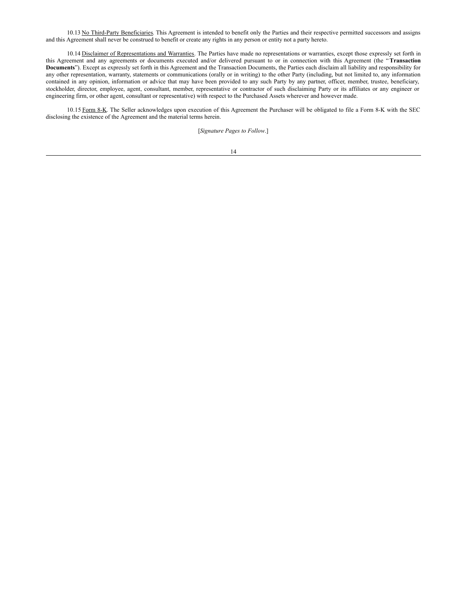10.13 No Third-Party Beneficiaries. This Agreement is intended to benefit only the Parties and their respective permitted successors and assigns and this Agreement shall never be construed to benefit or create any rights in any person or entity not a party hereto.

10.14 Disclaimer of Representations and Warranties. The Parties have made no representations or warranties, except those expressly set forth in this Agreement and any agreements or documents executed and/or delivered pursuant to or in connection with this Agreement (the "**Transaction Documents**"). Except as expressly set forth in this Agreement and the Transaction Documents, the Parties each disclaim all liability and responsibility for any other representation, warranty, statements or communications (orally or in writing) to the other Party (including, but not limited to, any information contained in any opinion, information or advice that may have been provided to any such Party by any partner, officer, member, trustee, beneficiary, stockholder, director, employee, agent, consultant, member, representative or contractor of such disclaiming Party or its affiliates or any engineer or engineering firm, or other agent, consultant or representative) with respect to the Purchased Assets wherever and however made.

10.15 Form 8-K. The Seller acknowledges upon execution of this Agreement the Purchaser will be obligated to file a Form 8-K with the SEC disclosing the existence of the Agreement and the material terms herein.

[*Signature Pages to Follow*.]

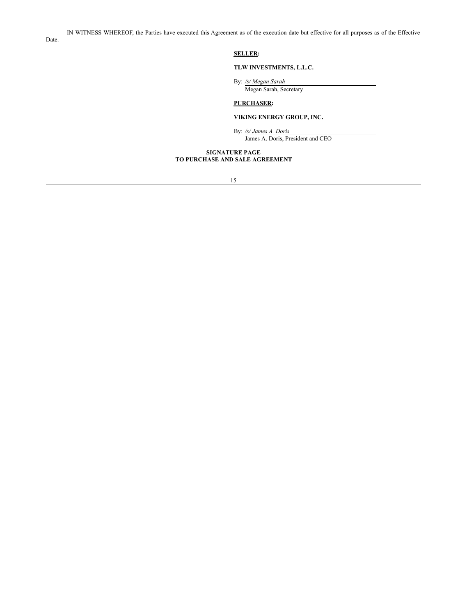**SELLER:**

#### **TLW INVESTMENTS, L.L.C.**

By: */s/ Megan Sarah*

Megan Sarah, Secretary

## **PURCHASER:**

#### **VIKING ENERGY GROUP, INC.**

By: */s/ James A. Doris* James A. Doris, President and CEO

#### **SIGNATURE PAGE TO PURCHASE AND SALE AGREEMENT**

Date.